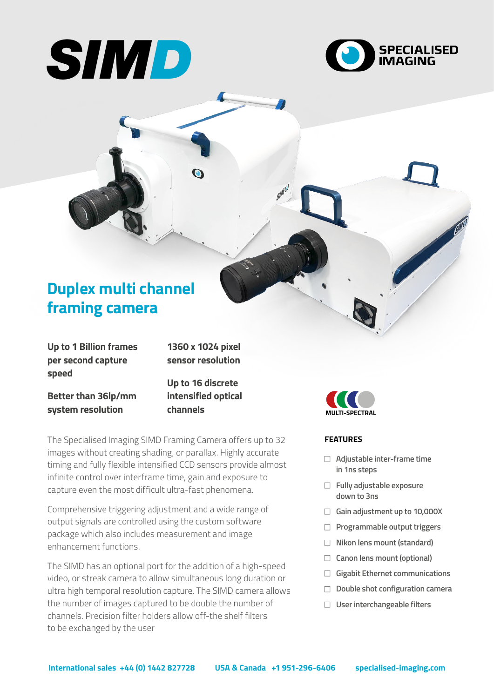



# **Duplex multi channel framing camera**

**Up to 1 Billion frames per second capture speed**

**1360 x 1024 pixel sensor resolution**

**Better than 36lp/mm system resolution**

**Up to 16 discrete intensified optical channels**

The Specialised Imaging SIMD Framing Camera offers up to 32 images without creating shading, or parallax. Highly accurate timing and fully flexible intensified CCD sensors provide almost infinite control over interframe time, gain and exposure to capture even the most difficult ultra-fast phenomena.

Comprehensive triggering adjustment and a wide range of output signals are controlled using the custom software package which also includes measurement and image enhancement functions.

The SIMD has an optional port for the addition of a high-speed video, or streak camera to allow simultaneous long duration or ultra high temporal resolution capture. The SIMD camera allows the number of images captured to be double the number of channels. Precision filter holders allow off-the shelf filters to be exchanged by the user



# **FEATURES**

- <sup>F</sup> **Adjustable inter-frame time in 1ns steps**
- **Fully adjustable exposure down to 3ns**
- □ Gain adjustment up to 10,000X
- **Programmable output triggers**
- □ Nikon lens mount (standard)
- □ Canon lens mount (optional)
- <sup>F</sup> **Gigabit Ethernet communications**
- F **Double shot configuration camera**
- □ User interchangeable filters